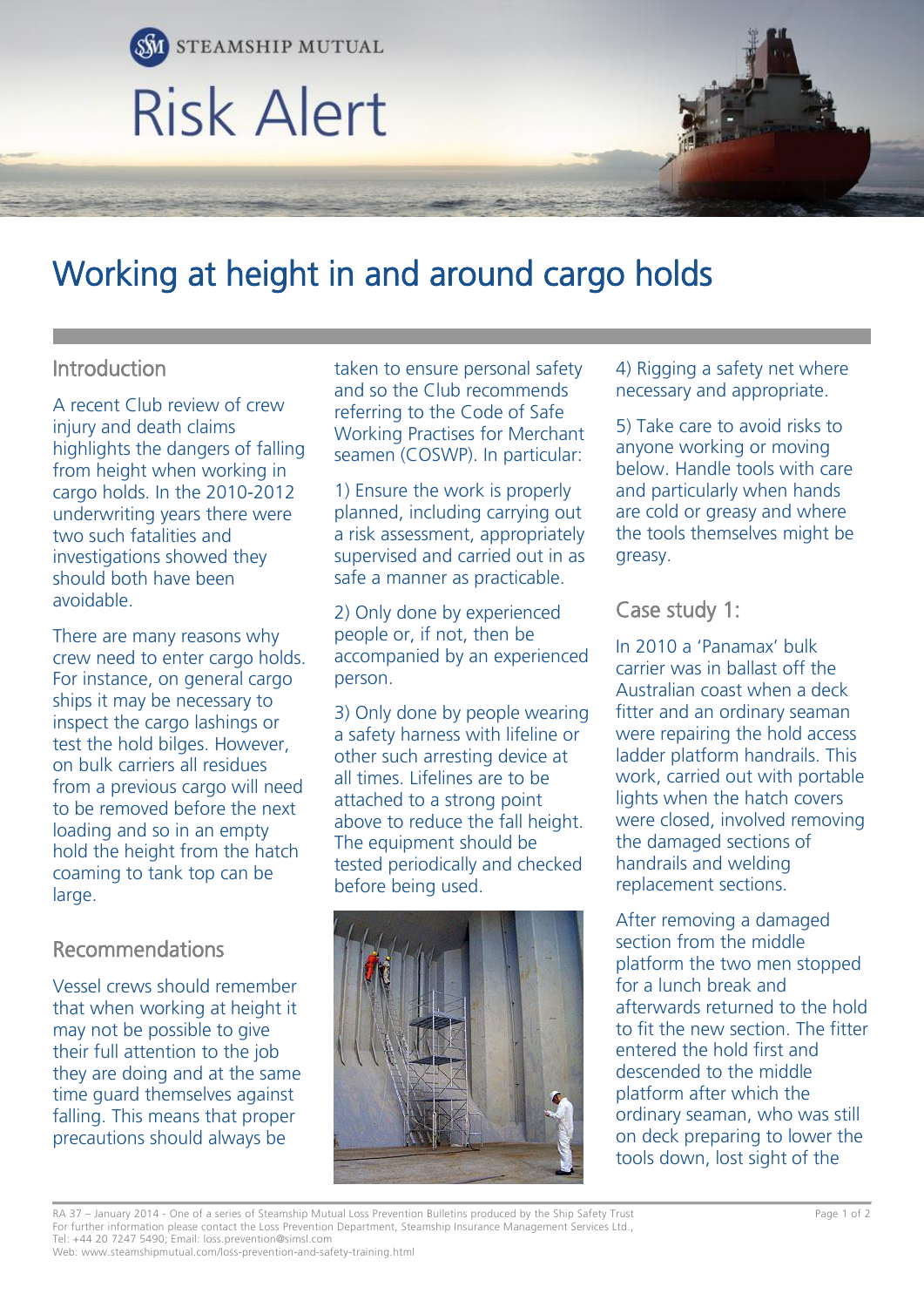

# Working at height in and around cargo holds

### Introduction

A recent Club review of crew injury and death claims highlights the dangers of falling from height when working in cargo holds. In the 2010-2012 underwriting years there were two such fatalities and investigations showed they should both have been avoidable.

There are many reasons why crew need to enter cargo holds. For instance, on general cargo ships it may be necessary to inspect the cargo lashings or test the hold bilges. However, on bulk carriers all residues from a previous cargo will need to be removed before the next loading and so in an empty hold the height from the hatch coaming to tank top can be large.

### Recommendations

Vessel crews should remember that when working at height it may not be possible to give their full attention to the job they are doing and at the same time guard themselves against falling. This means that proper precautions should always be

taken to ensure personal safety and so the Club recommends referring to the Code of Safe Working Practises for Merchant seamen (COSWP). In particular:

1) Ensure the work is properly planned, including carrying out a risk assessment, appropriately supervised and carried out in as safe a manner as practicable.

2) Only done by experienced people or, if not, then be accompanied by an experienced person.

3) Only done by people wearing a safety harness with lifeline or other such arresting device at all times. Lifelines are to be attached to a strong point above to reduce the fall height. The equipment should be tested periodically and checked before being used.



4) Rigging a safety net where necessary and appropriate.

5) Take care to avoid risks to anyone working or moving below. Handle tools with care and particularly when hands are cold or greasy and where the tools themselves might be greasy.

### Case study 1:

In 2010 a 'Panamax' bulk carrier was in ballast off the Australian coast when a deck fitter and an ordinary seaman were repairing the hold access ladder platform handrails. This work, carried out with portable lights when the hatch covers were closed, involved removing the damaged sections of handrails and welding replacement sections.

After removing a damaged section from the middle platform the two men stopped for a lunch break and afterwards returned to the hold to fit the new section. The fitter entered the hold first and descended to the middle platform after which the ordinary seaman, who was still on deck preparing to lower the tools down, lost sight of the

RA 37 – January 2014 - One of a series of Steamship Mutual Loss Prevention Bulletins produced by the Ship Safety Trust Page 1 of 2 For further information please contact the Loss Prevention Department, Steamship Insurance Management Services Ltd., Tel: +44 20 7247 5490; Email: loss.prevention@simsl.com

Web: www.steamshipmutual.com/loss-prevention-and-safety-training.html